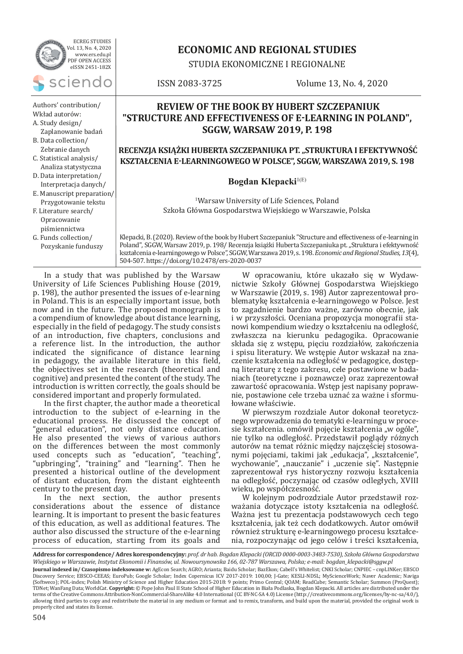| <b>ECREG STUDIES</b><br>Vol. 13, No. 4, 2020<br>www.ers.edu.pl<br>PDF OPEN ACCESS<br>eISSN 2451-182X      | <b>ECONOMIC AND REGIONAL STUDIES</b><br>STUDIA EKONOMICZNE I REGIONALNE                                                                       |                                                                                                                                                                                                                                                                                                                                    |
|-----------------------------------------------------------------------------------------------------------|-----------------------------------------------------------------------------------------------------------------------------------------------|------------------------------------------------------------------------------------------------------------------------------------------------------------------------------------------------------------------------------------------------------------------------------------------------------------------------------------|
| sciendo                                                                                                   | ISSN 2083-3725                                                                                                                                | Volume 13, No. 4, 2020                                                                                                                                                                                                                                                                                                             |
| Authors' contribution/<br>Wkład autorów:<br>A. Study design/<br>Zaplanowanie badań<br>B. Data collection/ | <b>REVIEW OF THE BOOK BY HUBERT SZCZEPANIUK</b><br>"STRUCTURE AND EFFECTIVENESS OF E-LEARNING IN POLAND",<br><b>SGGW, WARSAW 2019, P. 198</b> |                                                                                                                                                                                                                                                                                                                                    |
| Zebranie danych<br>C. Statistical analysis/<br>Analiza statystyczna<br>D. Data interpretation/            | RECENZJA KSIĄŻKI HUBERTA SZCZEPANIUKA PT. "STRUKTURA I EFEKTYWNOŚĆ<br>KSZTAŁCENIA E-LEARNINGOWEGO W POLSCE", SGGW, WARSZAWA 2019, S. 198      |                                                                                                                                                                                                                                                                                                                                    |
| Interpretacja danych/                                                                                     | Bogdan Klepacki $\mathbf{R}^{1(E)}$                                                                                                           |                                                                                                                                                                                                                                                                                                                                    |
| E. Manuscript preparation/<br>Przygotowanie tekstu<br>F. Literature search/<br>Opracowanie                |                                                                                                                                               | <sup>1</sup> Warsaw University of Life Sciences, Poland<br>Szkoła Główna Gospodarstwa Wiejskiego w Warszawie, Polska                                                                                                                                                                                                               |
| piśmiennictwa<br>G. Funds collection/<br>Pozyskanie funduszy                                              |                                                                                                                                               | Klepacki, B. (2020). Review of the book by Hubert Szczepaniuk "Structure and effectiveness of e-learning in<br>Poland", SGGW, Warsaw 2019, p. 198/ Recenzja książki Huberta Szczepaniuka pt. "Struktura i efektywność<br>kształcenia e-learningowego w Polsce", SGGW, Warszawa 2019, s. 198. Economic and Regional Studies, 13(4), |

504-507. https://doi.org/10.2478/ers-2020-0037

In a study that was published by the Warsaw University of Life Sciences Publishing House (2019, p. 198), the author presented the issues of e-learning in Poland. This is an especially important issue, both now and in the future. The proposed monograph is a compendium of knowledge about distance learning, especially in the field of pedagogy. The study consists of an introduction, five chapters, conclusions and a reference list. In the introduction, the author indicated the significance of distance learning in pedagogy, the available literature in this field, the objectives set in the research (theoretical and cognitive) and presented the content of the study. The introduction is written correctly, the goals should be considered important and properly formulated.

In the first chapter, the author made a theoretical introduction to the subject of e-learning in the educational process. He discussed the concept of "general education", not only distance education. He also presented the views of various authors on the differences between the most commonly used concepts such as "education", "teaching", "upbringing", "training" and "learning". Then he presented a historical outline of the development of distant education, from the distant eighteenth century to the present day.

In the next section, the author presents considerations about the essence of distance learning. It is important to present the basic features of this education, as well as additional features. The author also discussed the structure of the e-learning process of education, starting from its goals and

W opracowaniu, które ukazało się w Wydawnictwie Szkoły Głównej Gospodarstwa Wiejskiego w Warszawie (2019, s. 198) Autor zaprezentował problematykę kształcenia e-learningowego w Polsce. Jest to zagadnienie bardzo ważne, zarówno obecnie, jak i w przyszłości. Oceniana propozycja monografii stanowi kompendium wiedzy o kształceniu na odległość, zwłaszcza na kierunku pedagogika. Opracowanie składa się z wstępu, pięciu rozdziałów, zakończenia i spisu literatury. We wstępie Autor wskazał na znaczenie kształcenia na odległość w pedagogice, dostępną literaturę z tego zakresu, cele postawione w badaniach (teoretyczne i poznawcze) oraz zaprezentował zawartość opracowania. Wstęp jest napisany poprawnie, postawione cele trzeba uznać za ważne i sformułowane właściwie.

W pierwszym rozdziale Autor dokonał teoretycznego wprowadzenia do tematyki e-learningu w procesie kształcenia. omówił pojęcie kształcenia "w ogóle", nie tylko na odległość. Przedstawił poglądy różnych autorów na temat różnic między najczęściej stosowanymi pojęciami, takimi jak "edukacja", "kształcenie", wychowanie", "nauczanie" i "uczenie się". Następnie zaprezentował rys historyczny rozwoju kształcenia na odległość, poczynając od czasów odległych, XVIII wieku, po współczesność.

W kolejnym podrozdziale Autor przedstawił rozważania dotyczące istoty kształcenia na odległość. Ważna jest tu prezentacja podstawowych cech tego kształcenia, jak też cech dodatkowych. Autor omówił również strukturę e-learningowego procesu kształcenia, rozpoczynając od jego celów i treści kształcenia,

**Address for correspondence/ Adres korespondencyjny:** *prof. dr hab. Bogdan Klepacki (ORCID 0000-0003-3483-7530), Szkoła Główna Gospodarstwa Wiejskiego w Warszawie, Instytut Ekonomii i Finansów, ul. Nowoursynowska 166, 02-787 Warszawa, Polska; e-mail: bogdan\_klepacki@sggw.pl* **Journal indexed in/ Czasopismo indeksowane w:** AgEcon Search; AGRO; Arianta; Baidu Scholar; BazEkon; Cabell's Whitelist; CNKI Scholar; CNPIEC – cnpLINKer; EBSCO Discovery Service; EBSCO-CEEAS; EuroPub; Google Scholar; Index Copernicus ICV 2017-2019: 100,00; J-Gate; KESLI-NDSL; MyScienceWork; Naver Academic; Naviga (Softweco); POL-index; Polish Ministry of Science and Higher Education 2015-2018: 9 points; Primo Central; QOAM; ReadCube; Semantic Scholar; Summon (ProQuest); TDNet; WanFang Data; WorldCat. **Copyright:** © Pope John Paul II State School of Higher Education in Biała Podlaska, Bogdan Klepacki. All articles are distributed under the terms of the Creative Commons Attribution-NonCommercial-ShareAlike 4.0 International (CC BY-NC-SA 4.0) License (http://creativecommons.org/licenses/by-nc-sa/4.0/), allowing third parties to copy and redistribute the material in any medium or format and to remix, transform, and build upon the material, provided the original work is properly cited and states its license.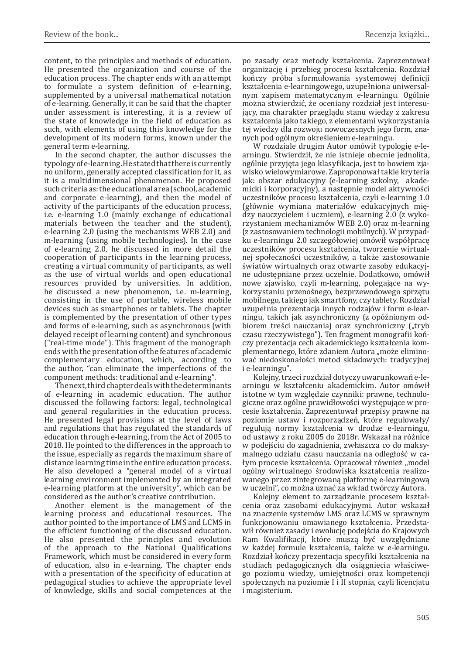content, to the principles and methods of education. He presented the organization and course of the education process. The chapter ends with an attempt to formulate a system definition of e-learning, supplemented by a universal mathematical notation of e-learning. Generally, it can be said that the chapter under assessment is interesting, it is a review of the state of knowledge in the field of education as such, with elements of using this knowledge for the development of its modern forms, known under the general term e-learning.

In the second chapter, the author discusses the typology of e-learning. He stated that there is currently no uniform, generally accepted classification for it, as it is a multidimensional phenomenon. He proposed such criteria as: the educational area (school, academic and corporate e-learning), and then the model of activity of the participants of the education process, i.e. e-learning 1.0 (mainly exchange of educational materials between the teacher and the student), e-learning 2.0 (using the mechanisms WEB 2.0) and m-learning (using mobile technologies). In the case of e-learning 2.0, he discussed in more detail the cooperation of participants in the learning process, creating a virtual community of participants, as well as the use of virtual worlds and open educational resources provided by universities. In addition, he discussed a new phenomenon, i.e. m-learning, consisting in the use of portable, wireless mobile devices such as smartphones or tablets. The chapter is complemented by the presentation of other types and forms of e-learning, such as asynchronous (with delayed receipt of learning content) and synchronous ("real-time mode"). This fragment of the monograph ends with the presentation of the features of academic complementary education, which, according to the author, "can eliminate the imperfections of the component methods: traditional and e-learning".

The next, third chapter deals with the determinants of e-learning in academic education. The author discussed the following factors: legal, technological and general regularities in the education process. He presented legal provisions at the level of laws and regulations that has regulated the standards of education through e-learning, from the Act of 2005 to 2018. He pointed to the differences in the approach to the issue, especially as regards the maximum share of distance learning time in the entire education process. He also developed a "general model of a virtual learning environment implemented by an integrated e-learning platform at the university", which can be considered as the author's creative contribution.

Another element is the management of the learning process and educational resources. The author pointed to the importance of LMS and LCMS in the efficient functioning of the discussed education. He also presented the principles and evolution of the approach to the National Qualifications Framework, which must be considered in every form of education, also in e-learning. The chapter ends with a presentation of the specificity of education at pedagogical studies to achieve the appropriate level of knowledge, skills and social competences at the

po zasady oraz metody kształcenia. Zaprezentował organizację i przebieg procesu kształcenia. Rozdział kończy próba sformułowania systemowej definicji kształcenia e-learningowego, uzupełniona uniwersalnym zapisem matematycznym e-learningu. Ogólnie można stwierdzić, że oceniany rozdział jest interesujący, ma charakter przeglądu stanu wiedzy z zakresu kształcenia jako takiego, z elementami wykorzystania tej wiedzy dla rozwoju nowoczesnych jego form, znanych pod ogólnym określeniem e-learningu.

W rozdziale drugim Autor omówił typologię e-learningu. Stwierdził, że nie istnieje obecnie jednolita, ogólnie przyjęta jego klasyfikacja, jest to bowiem zjawisko wielowymiarowe. Zaproponował takie kryteria jak: obszar edukacyjny (e-learning szkolny, akademicki i korporacyjny), a następnie model aktywności uczestników procesu kształcenia, czyli e-learning 1.0 (głównie wymiana materiałów edukacyjnych między nauczycielem i uczniem), e-learning 2.0 (z wykorzystaniem mechanizmów WEB 2.0) oraz m-learning (z zastosowaniem technologii mobilnych). W przypadku e-learningu 2.0 szczegółowiej omówił współpracę uczestników procesu kształcenia, tworzenie wirtualnej społeczności uczestników, a także zastosowanie światów wirtualnych oraz otwarte zasoby edukacyjne udostępniane przez uczelnie. Dodatkowo, omówił nowe zjawisko, czyli m-learning, polegające na wykorzystaniu przenośnego, bezprzewodowego sprzętu mobilnego, takiego jak smartfony, czy tablety. Rozdział uzupełnia prezentacja innych rodzajów i form e-learningu, takich jak asynchroniczny (z opóźnionym odbiorem treści nauczania) oraz synchroniczny ("tryb czasu rzeczywistego"). Ten fragment monografii kończy prezentacja cech akademickiego kształcenia komplementarnego, które zdaniem Autora "może eliminować niedoskonałości metod składowych: tradycyjnej i e-learningu".

Kolejny, trzeci rozdział dotyczy uwarunkowań e-learningu w kształceniu akademickim. Autor omówił istotne w tym względzie czynniki: prawne, technologiczne oraz ogólne prawidłowości występujące w procesie kształcenia. Zaprezentował przepisy prawne na poziomie ustaw i rozporządzeń, które regulowały/ regulują normy kształcenia w drodze e-learningu, od ustawy z roku 2005 do 2018r. Wskazał na różnice w podejściu do zagadnienia, zwłaszcza co do maksymalnego udziału czasu nauczania na odległość w całym procesie kształcenia. Opracował również "model ogólny wirtualnego środowiska kształcenia realizowanego przez zintegrowaną platformę e-learningową w uczelni", co można uznać za wkład twórczy Autora.

Kolejny element to zarządzanie procesem kształcenia oraz zasobami edukacyjnymi. Autor wskazał na znaczenie systemów LMS oraz LCMS w sprawnym funkcjonowaniu omawianego kształcenia. Przedstawił również zasady i ewolucję podejścia do Krajowych Ram Kwalifikacji, które muszą być uwzględniane w każdej formule kształcenia, także w e-learningu. Rozdział kończy prezentacja specyfiki kształcenia na studiach pedagogicznych dla osiągniecia właściwego poziomu wiedzy, umiejętności oraz kompetencji społecznych na poziomie I i II stopnia, czyli licencjatu i magisterium.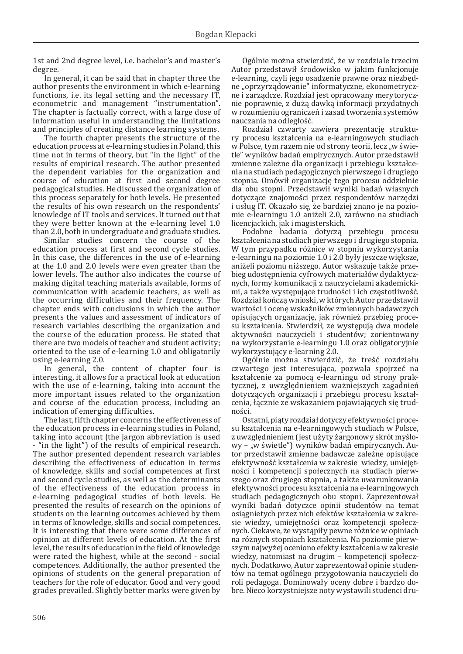1st and 2nd degree level, i.e. bachelor's and master's degree.

In general, it can be said that in chapter three the author presents the environment in which e-learning functions, i.e. its legal setting and the necessary IT, econometric and management "instrumentation". The chapter is factually correct, with a large dose of information useful in understanding the limitations and principles of creating distance learning systems.

The fourth chapter presents the structure of the education process at e-learning studies in Poland, this time not in terms of theory, but "in the light" of the results of empirical research. The author presented the dependent variables for the organization and course of education at first and second degree pedagogical studies. He discussed the organization of this process separately for both levels. He presented the results of his own research on the respondents' knowledge of IT tools and services. It turned out that they were better known at the e-learning level 1.0 than 2.0, both in undergraduate and graduate studies.

Similar studies concern the course of the education process at first and second cycle studies. In this case, the differences in the use of e-learning at the 1.0 and 2.0 levels were even greater than the lower levels. The author also indicates the course of making digital teaching materials available, forms of communication with academic teachers, as well as the occurring difficulties and their frequency. The chapter ends with conclusions in which the author presents the values and assessment of indicators of research variables describing the organization and the course of the education process. He stated that there are two models of teacher and student activity; oriented to the use of e-learning 1.0 and obligatorily using e-learning 2.0.

In general, the content of chapter four is interesting, it allows for a practical look at education with the use of e-learning, taking into account the more important issues related to the organization and course of the education process, including an indication of emerging difficulties.

The last, fifth chapter concerns the effectiveness of the education process in e-learning studies in Poland, taking into account (the jargon abbreviation is used - "in the light") of the results of empirical research. The author presented dependent research variables describing the effectiveness of education in terms of knowledge, skills and social competences at first and second cycle studies, as well as the determinants of the effectiveness of the education process in e-learning pedagogical studies of both levels. He presented the results of research on the opinions of students on the learning outcomes achieved by them in terms of knowledge, skills and social competences. It is interesting that there were some differences of opinion at different levels of education. At the first level, the results of education in the field of knowledge were rated the highest, while at the second - social competences. Additionally, the author presented the opinions of students on the general preparation of teachers for the role of educator. Good and very good grades prevailed. Slightly better marks were given by

Ogólnie można stwierdzić, że w rozdziale trzecim Autor przedstawił środowisko w jakim funkcjonuje e-learning, czyli jego osadzenie prawne oraz niezbędne "oprzyrządowanie" informatyczne, ekonometryczne i zarządcze. Rozdział jest opracowany merytorycznie poprawnie, z dużą dawką informacji przydatnych w rozumieniu ograniczeń i zasad tworzenia systemów nauczania na odległość.

Rozdział czwarty zawiera prezentację struktury procesu kształcenia na e-learningowych studiach w Polsce, tym razem nie od strony teorii, lecz "w świetle" wyników badań empirycznych. Autor przedstawił zmienne zależne dla organizacji i przebiegu kształcenia na studiach pedagogicznych pierwszego i drugiego stopnia. Omówił organizację tego procesu oddzielnie dla obu stopni. Przedstawił wyniki badań własnych dotyczące znajomości przez respondentów narzędzi i usług IT. Okazało się, że bardziej znano je na poziomie e-learningu 1.0 aniżeli 2.0, zarówno na studiach licencjackich, jak i magisterskich.

Podobne badania dotyczą przebiegu procesu kształcenia na studiach pierwszego i drugiego stopnia. W tym przypadku różnice w stopniu wykorzystania e-learningu na poziomie 1.0 i 2.0 były jeszcze większe, aniżeli poziomu niższego. Autor wskazuje także przebieg udostępnienia cyfrowych materiałów dydaktycznych, formy komunikacji z nauczycielami akademickimi, a także występujące trudności i ich częstotliwość. Rozdział kończą wnioski, w których Autor przedstawił wartości i ocenę wskaźników zmiennych badawczych opisujących organizację, jak również przebieg procesu kształcenia. Stwierdził, ze występują dwa modele aktywności nauczycieli i studentów; zorientowany na wykorzystanie e-learningu 1.0 oraz obligatoryjnie wykorzystujący e-learning 2.0.

Ogólnie można stwierdzić, że treść rozdziału czwartego jest interesująca, pozwala spojrzeć na kształcenie za pomocą e-learningu od strony praktycznej, z uwzględnieniem ważniejszych zagadnień dotyczących organizacji i przebiegu procesu kształcenia, łącznie ze wskazaniem pojawiających się trudności.

Ostatni, piąty rozdział dotyczy efektywności procesu kształcenia na e-learningowych studiach w Polsce, z uwzględnieniem (jest użyty żargonowy skrót myślowy - "w świetle") wyników badań empirycznych. Autor przedstawił zmienne badawcze zależne opisujące efektywność kształcenia w zakresie wiedzy, umiejętności i kompetencji społecznych na studiach pierwszego oraz drugiego stopnia, a także uwarunkowania efektywności procesu kształcenia na e-learningowych studiach pedagogicznych obu stopni. Zaprezentował wyniki badań dotyczce opinii studentów na temat osiągnietych przez nich efektów kształcenia w zakresie wiedzy, umiejętności oraz kompetencji społecznych. Ciekawe, że wystąpiły pewne różnice w opiniach na różnych stopniach kształcenia. Na poziomie pierwszym najwyżej oceniono efekty kształcenia w zakresie wiedzy, natomiast na drugim – kompetencji społecznych. Dodatkowo, Autor zaprezentował opinie studentów na temat ogólnego przygotowania nauczycieli do roli pedagoga. Dominowały oceny dobre i bardzo dobre. Nieco korzystniejsze noty wystawili studenci dru